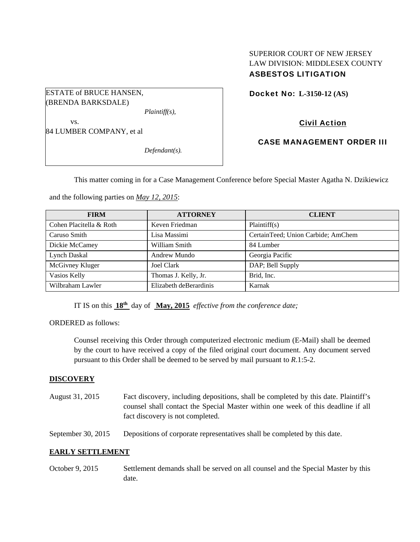## SUPERIOR COURT OF NEW JERSEY LAW DIVISION: MIDDLESEX COUNTY ASBESTOS LITIGATION

ESTATE of BRUCE HANSEN, (BRENDA BARKSDALE)

*Plaintiff(s),* 

84 LUMBER COMPANY, et al

vs.

*Defendant(s).* 

Docket No: **L-3150-12 (AS)** 

# Civil Action

CASE MANAGEMENT ORDER III

This matter coming in for a Case Management Conference before Special Master Agatha N. Dzikiewicz

and the following parties on *May 12, 2015*:

| <b>FIRM</b>             | <b>ATTORNEY</b>        | <b>CLIENT</b>                      |
|-------------------------|------------------------|------------------------------------|
| Cohen Placitella & Roth | Keven Friedman         | Plaintiff(s)                       |
| Caruso Smith            | Lisa Massimi           | CertainTeed; Union Carbide; AmChem |
| Dickie McCamey          | William Smith          | 84 Lumber                          |
| Lynch Daskal            | Andrew Mundo           | Georgia Pacific                    |
| McGivney Kluger         | <b>Joel Clark</b>      | DAP; Bell Supply                   |
| Vasios Kelly            | Thomas J. Kelly, Jr.   | Brid, Inc.                         |
| Wilbraham Lawler        | Elizabeth deBerardinis | Karnak                             |

IT IS on this **18th** day of **May, 2015** *effective from the conference date;*

ORDERED as follows:

Counsel receiving this Order through computerized electronic medium (E-Mail) shall be deemed by the court to have received a copy of the filed original court document. Any document served pursuant to this Order shall be deemed to be served by mail pursuant to *R*.1:5-2.

### **DISCOVERY**

August 31, 2015 Fact discovery, including depositions, shall be completed by this date. Plaintiff's counsel shall contact the Special Master within one week of this deadline if all fact discovery is not completed.

September 30, 2015 Depositions of corporate representatives shall be completed by this date.

### **EARLY SETTLEMENT**

October 9, 2015 Settlement demands shall be served on all counsel and the Special Master by this date.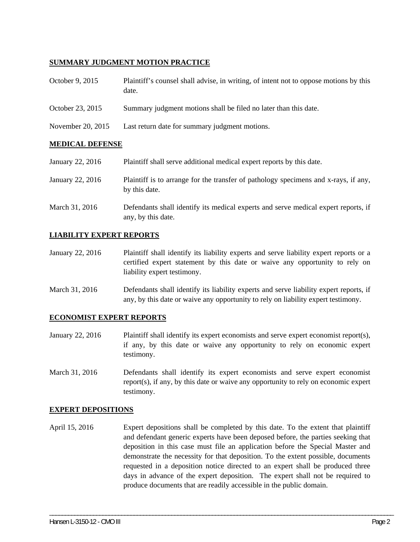## **SUMMARY JUDGMENT MOTION PRACTICE**

| October 9, 2015 | Plaintiff's counsel shall advise, in writing, of intent not to oppose motions by this |
|-----------------|---------------------------------------------------------------------------------------|
|                 | date.                                                                                 |

- October 23, 2015 Summary judgment motions shall be filed no later than this date.
- November 20, 2015 Last return date for summary judgment motions.

#### **MEDICAL DEFENSE**

January 22, 2016 Plaintiff shall serve additional medical expert reports by this date. January 22, 2016 Plaintiff is to arrange for the transfer of pathology specimens and x-rays, if any, by this date. March 31, 2016 Defendants shall identify its medical experts and serve medical expert reports, if any, by this date.

### **LIABILITY EXPERT REPORTS**

- January 22, 2016 Plaintiff shall identify its liability experts and serve liability expert reports or a certified expert statement by this date or waive any opportunity to rely on liability expert testimony.
- March 31, 2016 Defendants shall identify its liability experts and serve liability expert reports, if any, by this date or waive any opportunity to rely on liability expert testimony.

#### **ECONOMIST EXPERT REPORTS**

- January 22, 2016 Plaintiff shall identify its expert economists and serve expert economist report(s), if any, by this date or waive any opportunity to rely on economic expert testimony.
- March 31, 2016 Defendants shall identify its expert economists and serve expert economist report(s), if any, by this date or waive any opportunity to rely on economic expert testimony.

#### **EXPERT DEPOSITIONS**

April 15, 2016 Expert depositions shall be completed by this date. To the extent that plaintiff and defendant generic experts have been deposed before, the parties seeking that deposition in this case must file an application before the Special Master and demonstrate the necessity for that deposition. To the extent possible, documents requested in a deposition notice directed to an expert shall be produced three days in advance of the expert deposition. The expert shall not be required to produce documents that are readily accessible in the public domain.

\_\_\_\_\_\_\_\_\_\_\_\_\_\_\_\_\_\_\_\_\_\_\_\_\_\_\_\_\_\_\_\_\_\_\_\_\_\_\_\_\_\_\_\_\_\_\_\_\_\_\_\_\_\_\_\_\_\_\_\_\_\_\_\_\_\_\_\_\_\_\_\_\_\_\_\_\_\_\_\_\_\_\_\_\_\_\_\_\_\_\_\_\_\_\_\_\_\_\_\_\_\_\_\_\_\_\_\_\_\_